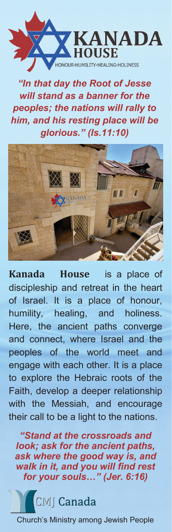

*"In that day the Root of Jesse will stand as a banner for the peoples; the nations will rally to him, and his resting place will be glorious." (Is.11:10)*



**Kanada House** is a place of discipleship and retreat in the heart of Israel. It is a place of honour, humility, healing, and holiness. Here, the ancient paths converge and connect, where Israel and the peoples of the world meet and engage with each other. It is a place to explore the Hebraic roots of the Faith, develop a deeper relationship with the Messiah, and encourage their call to be a light to the nations.

*"Stand at the crossroads and look; ask for the ancient paths, ask where the good way is, and walk in it, and you will find rest for your souls…" (Jer. 6:16)*

**MI** Canada

Church's Ministry among Jewish People